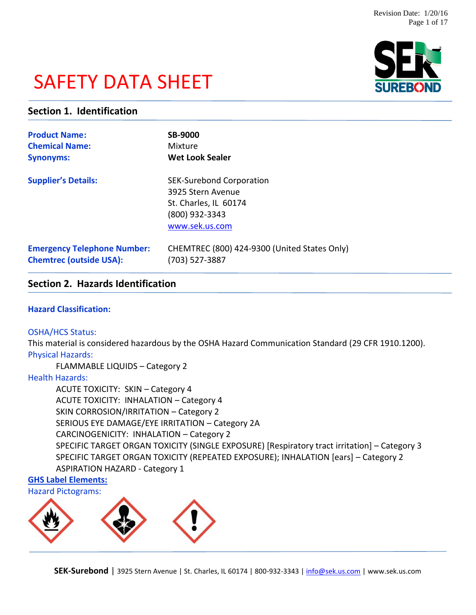# SAFETY DATA SHEET



## **Section 1. Identification**

| <b>Product Name:</b>               | <b>SB-9000</b>                                                                                                    |
|------------------------------------|-------------------------------------------------------------------------------------------------------------------|
| <b>Chemical Name:</b>              | Mixture                                                                                                           |
| <b>Synonyms:</b>                   | <b>Wet Look Sealer</b>                                                                                            |
| <b>Supplier's Details:</b>         | <b>SEK-Surebond Corporation</b><br>3925 Stern Avenue<br>St. Charles, IL 60174<br>(800) 932-3343<br>www.sek.us.com |
| <b>Emergency Telephone Number:</b> | CHEMTREC (800) 424-9300 (United States Only)                                                                      |
| <b>Chemtrec (outside USA):</b>     | (703) 527-3887                                                                                                    |

## **Section 2. Hazards Identification**

#### **Hazard Classification:**

#### OSHA/HCS Status:

This material is considered hazardous by the OSHA Hazard Communication Standard (29 CFR 1910.1200). Physical Hazards:

FLAMMABLE LIQUIDS – Category 2

### Health Hazards:

ACUTE TOXICITY: SKIN – Category 4 ACUTE TOXICITY: INHALATION – Category 4 SKIN CORROSION/IRRITATION – Category 2 SERIOUS EYE DAMAGE/EYE IRRITATION – Category 2A CARCINOGENICITY: INHALATION – Category 2 SPECIFIC TARGET ORGAN TOXICITY (SINGLE EXPOSURE) [Respiratory tract irritation] – Category 3 SPECIFIC TARGET ORGAN TOXICITY (REPEATED EXPOSURE); INHALATION [ears] – Category 2 ASPIRATION HAZARD - Category 1

## **GHS Label Elements:**



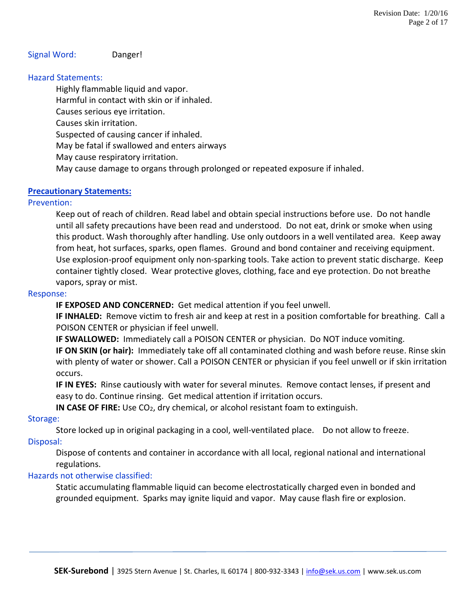## Signal Word: Danger!

### Hazard Statements:

Highly flammable liquid and vapor.

Harmful in contact with skin or if inhaled.

Causes serious eye irritation.

Causes skin irritation.

Suspected of causing cancer if inhaled.

May be fatal if swallowed and enters airways

May cause respiratory irritation.

May cause damage to organs through prolonged or repeated exposure if inhaled.

### **Precautionary Statements:**

### Prevention:

Keep out of reach of children. Read label and obtain special instructions before use. Do not handle until all safety precautions have been read and understood. Do not eat, drink or smoke when using this product. Wash thoroughly after handling. Use only outdoors in a well ventilated area. Keep away from heat, hot surfaces, sparks, open flames. Ground and bond container and receiving equipment. Use explosion-proof equipment only non-sparking tools. Take action to prevent static discharge. Keep container tightly closed. Wear protective gloves, clothing, face and eye protection. Do not breathe vapors, spray or mist.

#### Response:

**IF EXPOSED AND CONCERNED:** Get medical attention if you feel unwell.

**IF INHALED:** Remove victim to fresh air and keep at rest in a position comfortable for breathing. Call a POISON CENTER or physician if feel unwell.

**IF SWALLOWED:** Immediately call a POISON CENTER or physician. Do NOT induce vomiting.

**IF ON SKIN (or hair):** Immediately take off all contaminated clothing and wash before reuse. Rinse skin with plenty of water or shower. Call a POISON CENTER or physician if you feel unwell or if skin irritation occurs.

**IF IN EYES:** Rinse cautiously with water for several minutes. Remove contact lenses, if present and easy to do. Continue rinsing. Get medical attention if irritation occurs.

**IN CASE OF FIRE:** Use CO<sub>2</sub>, dry chemical, or alcohol resistant foam to extinguish.

#### Storage:

Store locked up in original packaging in a cool, well-ventilated place. Do not allow to freeze. Disposal:

Dispose of contents and container in accordance with all local, regional national and international regulations.

### Hazards not otherwise classified:

Static accumulating flammable liquid can become electrostatically charged even in bonded and grounded equipment. Sparks may ignite liquid and vapor. May cause flash fire or explosion.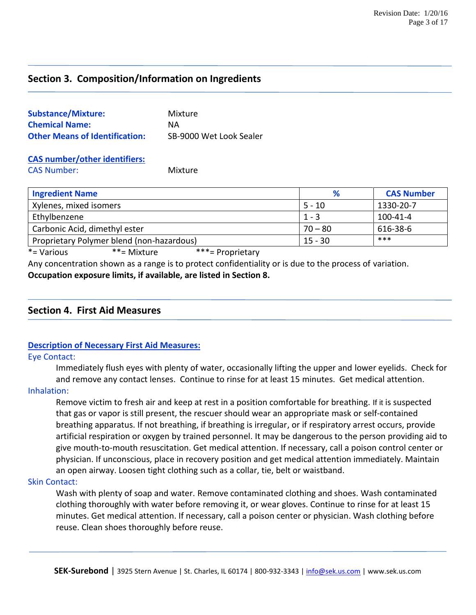## **Section 3. Composition/Information on Ingredients**

| <b>Substance/Mixture:</b>             | Mixture                 |
|---------------------------------------|-------------------------|
| <b>Chemical Name:</b>                 | ΝA                      |
| <b>Other Means of Identification:</b> | SB-9000 Wet Look Sealer |

#### **CAS number/other identifiers:** CAS Number: Mixture

| <b>Ingredient Name</b>                    | %         | <b>CAS Number</b> |
|-------------------------------------------|-----------|-------------------|
| Xylenes, mixed isomers                    | $5 - 10$  | 1330-20-7         |
| Ethylbenzene                              | $1 - 3$   | 100-41-4          |
| Carbonic Acid, dimethyl ester             | $70 - 80$ | 616-38-6          |
| Proprietary Polymer blend (non-hazardous) | $15 - 30$ | ***               |

\*= Various \*\*= Mixture \*\*\*= Proprietary

Any concentration shown as a range is to protect confidentiality or is due to the process of variation. **Occupation exposure limits, if available, are listed in Section 8.**

## **Section 4. First Aid Measures**

## **Description of Necessary First Aid Measures:**

#### Eye Contact:

Immediately flush eyes with plenty of water, occasionally lifting the upper and lower eyelids. Check for and remove any contact lenses. Continue to rinse for at least 15 minutes. Get medical attention.

#### Inhalation:

Remove victim to fresh air and keep at rest in a position comfortable for breathing. If it is suspected that gas or vapor is still present, the rescuer should wear an appropriate mask or self-contained breathing apparatus. If not breathing, if breathing is irregular, or if respiratory arrest occurs, provide artificial respiration or oxygen by trained personnel. It may be dangerous to the person providing aid to give mouth-to-mouth resuscitation. Get medical attention. If necessary, call a poison control center or physician. If unconscious, place in recovery position and get medical attention immediately. Maintain an open airway. Loosen tight clothing such as a collar, tie, belt or waistband.

#### Skin Contact:

Wash with plenty of soap and water. Remove contaminated clothing and shoes. Wash contaminated clothing thoroughly with water before removing it, or wear gloves. Continue to rinse for at least 15 minutes. Get medical attention. If necessary, call a poison center or physician. Wash clothing before reuse. Clean shoes thoroughly before reuse.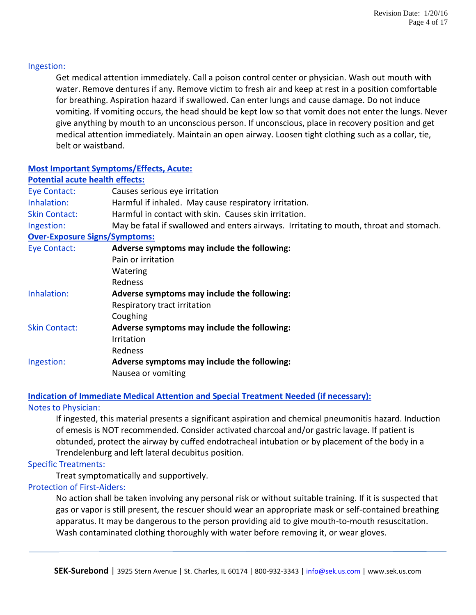#### Ingestion:

Get medical attention immediately. Call a poison control center or physician. Wash out mouth with water. Remove dentures if any. Remove victim to fresh air and keep at rest in a position comfortable for breathing. Aspiration hazard if swallowed. Can enter lungs and cause damage. Do not induce vomiting. If vomiting occurs, the head should be kept low so that vomit does not enter the lungs. Never give anything by mouth to an unconscious person. If unconscious, place in recovery position and get medical attention immediately. Maintain an open airway. Loosen tight clothing such as a collar, tie, belt or waistband.

## **Most Important Symptoms/Effects, Acute:**

| <b>Potential acute health effects:</b> |                                                                                        |
|----------------------------------------|----------------------------------------------------------------------------------------|
| Eye Contact:                           | Causes serious eye irritation                                                          |
| Inhalation:                            | Harmful if inhaled. May cause respiratory irritation.                                  |
| <b>Skin Contact:</b>                   | Harmful in contact with skin. Causes skin irritation.                                  |
| Ingestion:                             | May be fatal if swallowed and enters airways. Irritating to mouth, throat and stomach. |
| <b>Over-Exposure Signs/Symptoms:</b>   |                                                                                        |
| Eye Contact:                           | Adverse symptoms may include the following:                                            |
|                                        | Pain or irritation                                                                     |
|                                        | Watering                                                                               |
|                                        | Redness                                                                                |
| Inhalation:                            | Adverse symptoms may include the following:                                            |
|                                        | Respiratory tract irritation                                                           |
|                                        | Coughing                                                                               |
| <b>Skin Contact:</b>                   | Adverse symptoms may include the following:                                            |
|                                        | <b>Irritation</b>                                                                      |
|                                        | Redness                                                                                |
| Ingestion:                             | Adverse symptoms may include the following:                                            |
|                                        | Nausea or vomiting                                                                     |

### **Indication of Immediate Medical Attention and Special Treatment Needed (if necessary):**

### Notes to Physician:

If ingested, this material presents a significant aspiration and chemical pneumonitis hazard. Induction of emesis is NOT recommended. Consider activated charcoal and/or gastric lavage. If patient is obtunded, protect the airway by cuffed endotracheal intubation or by placement of the body in a Trendelenburg and left lateral decubitus position.

### Specific Treatments:

Treat symptomatically and supportively.

## Protection of First-Aiders:

No action shall be taken involving any personal risk or without suitable training. If it is suspected that gas or vapor is still present, the rescuer should wear an appropriate mask or self-contained breathing apparatus. It may be dangerous to the person providing aid to give mouth-to-mouth resuscitation. Wash contaminated clothing thoroughly with water before removing it, or wear gloves.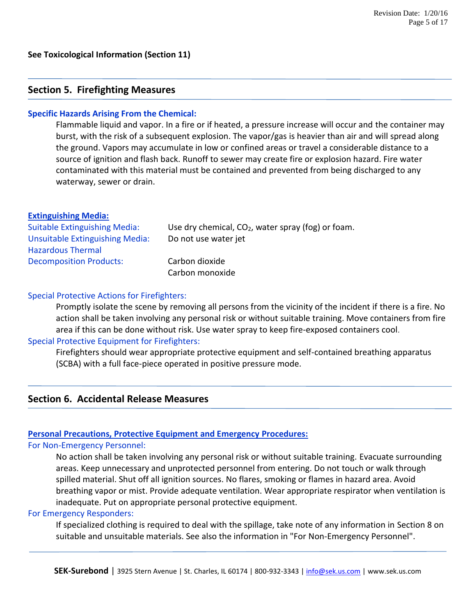## **Section 5. Firefighting Measures**

#### **Specific Hazards Arising From the Chemical:**

Flammable liquid and vapor. In a fire or if heated, a pressure increase will occur and the container may burst, with the risk of a subsequent explosion. The vapor/gas is heavier than air and will spread along the ground. Vapors may accumulate in low or confined areas or travel a considerable distance to a source of ignition and flash back. Runoff to sewer may create fire or explosion hazard. Fire water contaminated with this material must be contained and prevented from being discharged to any waterway, sewer or drain.

#### **Extinguishing Media:**

| <b>Suitable Extinguishing Media:</b> | Use dry chemical, $CO2$ , water spray (fog) or foam. |
|--------------------------------------|------------------------------------------------------|
| Unsuitable Extinguishing Media:      | Do not use water jet                                 |
| <b>Hazardous Thermal</b>             |                                                      |
| <b>Decomposition Products:</b>       | Carbon dioxide                                       |
|                                      | Carbon monoxide                                      |

#### Special Protective Actions for Firefighters:

Promptly isolate the scene by removing all persons from the vicinity of the incident if there is a fire. No action shall be taken involving any personal risk or without suitable training. Move containers from fire area if this can be done without risk. Use water spray to keep fire-exposed containers cool.

### Special Protective Equipment for Firefighters:

Firefighters should wear appropriate protective equipment and self-contained breathing apparatus (SCBA) with a full face-piece operated in positive pressure mode.

## **Section 6. Accidental Release Measures**

#### **Personal Precautions, Protective Equipment and Emergency Procedures:**

#### For Non-Emergency Personnel:

No action shall be taken involving any personal risk or without suitable training. Evacuate surrounding areas. Keep unnecessary and unprotected personnel from entering. Do not touch or walk through spilled material. Shut off all ignition sources. No flares, smoking or flames in hazard area. Avoid breathing vapor or mist. Provide adequate ventilation. Wear appropriate respirator when ventilation is inadequate. Put on appropriate personal protective equipment.

#### For Emergency Responders:

If specialized clothing is required to deal with the spillage, take note of any information in Section 8 on suitable and unsuitable materials. See also the information in "For Non-Emergency Personnel".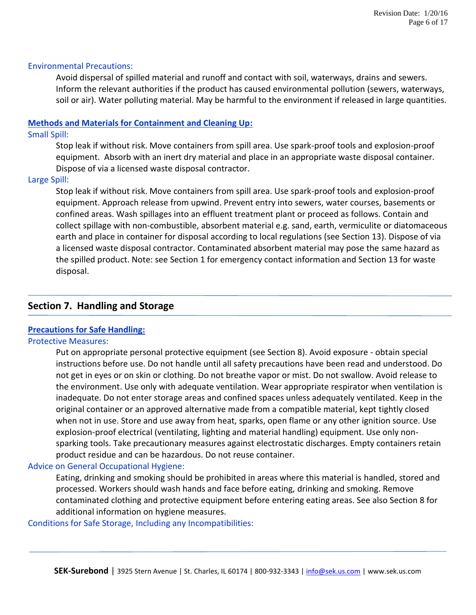#### Environmental Precautions:

Avoid dispersal of spilled material and runoff and contact with soil, waterways, drains and sewers. Inform the relevant authorities if the product has caused environmental pollution (sewers, waterways, soil or air). Water polluting material. May be harmful to the environment if released in large quantities.

#### **Methods and Materials for Containment and Cleaning Up:**

#### Small Spill:

Stop leak if without risk. Move containers from spill area. Use spark-proof tools and explosion-proof equipment. Absorb with an inert dry material and place in an appropriate waste disposal container. Dispose of via a licensed waste disposal contractor.

### Large Spill:

Stop leak if without risk. Move containers from spill area. Use spark-proof tools and explosion-proof equipment. Approach release from upwind. Prevent entry into sewers, water courses, basements or confined areas. Wash spillages into an effluent treatment plant or proceed as follows. Contain and collect spillage with non-combustible, absorbent material e.g. sand, earth, vermiculite or diatomaceous earth and place in container for disposal according to local regulations (see Section 13). Dispose of via a licensed waste disposal contractor. Contaminated absorbent material may pose the same hazard as the spilled product. Note: see Section 1 for emergency contact information and Section 13 for waste disposal.

## **Section 7. Handling and Storage**

## **Precautions for Safe Handling:**

#### Protective Measures:

Put on appropriate personal protective equipment (see Section 8). Avoid exposure - obtain special instructions before use. Do not handle until all safety precautions have been read and understood. Do not get in eyes or on skin or clothing. Do not breathe vapor or mist. Do not swallow. Avoid release to the environment. Use only with adequate ventilation. Wear appropriate respirator when ventilation is inadequate. Do not enter storage areas and confined spaces unless adequately ventilated. Keep in the original container or an approved alternative made from a compatible material, kept tightly closed when not in use. Store and use away from heat, sparks, open flame or any other ignition source. Use explosion-proof electrical (ventilating, lighting and material handling) equipment. Use only nonsparking tools. Take precautionary measures against electrostatic discharges. Empty containers retain product residue and can be hazardous. Do not reuse container.

### Advice on General Occupational Hygiene:

Eating, drinking and smoking should be prohibited in areas where this material is handled, stored and processed. Workers should wash hands and face before eating, drinking and smoking. Remove contaminated clothing and protective equipment before entering eating areas. See also Section 8 for additional information on hygiene measures.

### Conditions for Safe Storage, Including any Incompatibilities: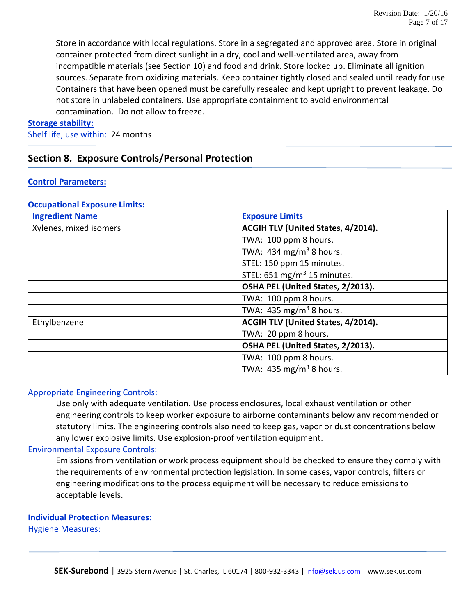Store in accordance with local regulations. Store in a segregated and approved area. Store in original container protected from direct sunlight in a dry, cool and well-ventilated area, away from incompatible materials (see Section 10) and food and drink. Store locked up. Eliminate all ignition sources. Separate from oxidizing materials. Keep container tightly closed and sealed until ready for use. Containers that have been opened must be carefully resealed and kept upright to prevent leakage. Do not store in unlabeled containers. Use appropriate containment to avoid environmental contamination. Do not allow to freeze.

#### **Storage stability:**

Shelf life, use within: 24 months

## **Section 8. Exposure Controls/Personal Protection**

#### **Control Parameters:**

#### **Occupational Exposure Limits:**

| <b>Ingredient Name</b> | <b>Exposure Limits</b>                 |
|------------------------|----------------------------------------|
| Xylenes, mixed isomers | ACGIH TLV (United States, 4/2014).     |
|                        | TWA: 100 ppm 8 hours.                  |
|                        | TWA: 434 mg/m <sup>3</sup> 8 hours.    |
|                        | STEL: 150 ppm 15 minutes.              |
|                        | STEL: $651 \text{ mg/m}^3$ 15 minutes. |
|                        | OSHA PEL (United States, 2/2013).      |
|                        | TWA: 100 ppm 8 hours.                  |
|                        | TWA: 435 mg/m <sup>3</sup> 8 hours.    |
| Ethylbenzene           | ACGIH TLV (United States, 4/2014).     |
|                        | TWA: 20 ppm 8 hours.                   |
|                        | OSHA PEL (United States, 2/2013).      |
|                        | TWA: 100 ppm 8 hours.                  |
|                        | TWA: 435 mg/m <sup>3</sup> 8 hours.    |

#### Appropriate Engineering Controls:

Use only with adequate ventilation. Use process enclosures, local exhaust ventilation or other engineering controls to keep worker exposure to airborne contaminants below any recommended or statutory limits. The engineering controls also need to keep gas, vapor or dust concentrations below any lower explosive limits. Use explosion-proof ventilation equipment.

#### Environmental Exposure Controls:

Emissions from ventilation or work process equipment should be checked to ensure they comply with the requirements of environmental protection legislation. In some cases, vapor controls, filters or engineering modifications to the process equipment will be necessary to reduce emissions to acceptable levels.

#### **Individual Protection Measures:**

Hygiene Measures: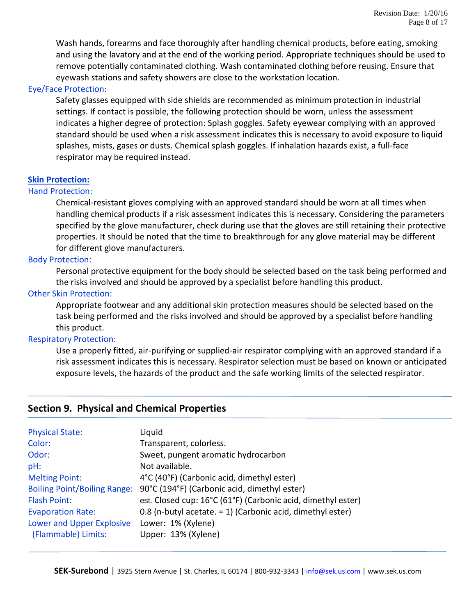Wash hands, forearms and face thoroughly after handling chemical products, before eating, smoking and using the lavatory and at the end of the working period. Appropriate techniques should be used to remove potentially contaminated clothing. Wash contaminated clothing before reusing. Ensure that eyewash stations and safety showers are close to the workstation location.

### Eye/Face Protection:

Safety glasses equipped with side shields are recommended as minimum protection in industrial settings. If contact is possible, the following protection should be worn, unless the assessment indicates a higher degree of protection: Splash goggles. Safety eyewear complying with an approved standard should be used when a risk assessment indicates this is necessary to avoid exposure to liquid splashes, mists, gases or dusts. Chemical splash goggles. If inhalation hazards exist, a full-face respirator may be required instead.

#### **Skin Protection:**

#### Hand Protection:

Chemical-resistant gloves complying with an approved standard should be worn at all times when handling chemical products if a risk assessment indicates this is necessary. Considering the parameters specified by the glove manufacturer, check during use that the gloves are still retaining their protective properties. It should be noted that the time to breakthrough for any glove material may be different for different glove manufacturers.

### Body Protection:

Personal protective equipment for the body should be selected based on the task being performed and the risks involved and should be approved by a specialist before handling this product.

#### Other Skin Protection:

Appropriate footwear and any additional skin protection measures should be selected based on the task being performed and the risks involved and should be approved by a specialist before handling this product.

#### Respiratory Protection:

Use a properly fitted, air-purifying or supplied-air respirator complying with an approved standard if a risk assessment indicates this is necessary. Respirator selection must be based on known or anticipated exposure levels, the hazards of the product and the safe working limits of the selected respirator.

## **Section 9. Physical and Chemical Properties**

| <b>Physical State:</b>              | Liquid                                                       |
|-------------------------------------|--------------------------------------------------------------|
| Color:                              | Transparent, colorless.                                      |
| Odor:                               | Sweet, pungent aromatic hydrocarbon                          |
| pH:                                 | Not available.                                               |
| <b>Melting Point:</b>               | 4°C (40°F) (Carbonic acid, dimethyl ester)                   |
| <b>Boiling Point/Boiling Range:</b> | 90°C (194°F) (Carbonic acid, dimethyl ester)                 |
| <b>Flash Point:</b>                 | est. Closed cup: 16°C (61°F) (Carbonic acid, dimethyl ester) |
| <b>Evaporation Rate:</b>            | 0.8 (n-butyl acetate. = 1) (Carbonic acid, dimethyl ester)   |
| Lower and Upper Explosive           | Lower: 1% (Xylene)                                           |
| (Flammable) Limits:                 | Upper: 13% (Xylene)                                          |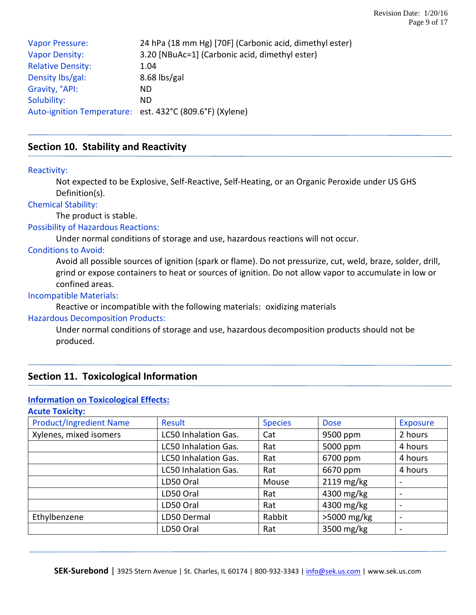| <b>Vapor Pressure:</b>   | 24 hPa (18 mm Hg) [70F] (Carbonic acid, dimethyl ester)  |
|--------------------------|----------------------------------------------------------|
| <b>Vapor Density:</b>    | 3.20 [NBuAc=1] (Carbonic acid, dimethyl ester)           |
| <b>Relative Density:</b> | 1.04                                                     |
| Density lbs/gal:         | $8.68$ lbs/gal                                           |
| Gravity, °API:           | ND.                                                      |
| Solubility:              | ND.                                                      |
|                          | Auto-ignition Temperature: est. 432°C (809.6°F) (Xylene) |

## **Section 10. Stability and Reactivity**

#### Reactivity:

Not expected to be Explosive, Self-Reactive, Self-Heating, or an Organic Peroxide under US GHS Definition(s).

#### Chemical Stability:

The product is stable.

## Possibility of Hazardous Reactions:

Under normal conditions of storage and use, hazardous reactions will not occur.

### Conditions to Avoid:

Avoid all possible sources of ignition (spark or flame). Do not pressurize, cut, weld, braze, solder, drill, grind or expose containers to heat or sources of ignition. Do not allow vapor to accumulate in low or confined areas.

#### Incompatible Materials:

Reactive or incompatible with the following materials: oxidizing materials

#### Hazardous Decomposition Products:

Under normal conditions of storage and use, hazardous decomposition products should not be produced.

## **Section 11. Toxicological Information**

### **Information on Toxicological Effects:**

#### **Acute Toxicity:**

| <b>Product/Ingredient Name</b> | Result               | <b>Species</b> | <b>Dose</b>   | <b>Exposure</b>          |
|--------------------------------|----------------------|----------------|---------------|--------------------------|
| Xylenes, mixed isomers         | LC50 Inhalation Gas. | Cat            | 9500 ppm      | 2 hours                  |
|                                | LC50 Inhalation Gas. | Rat            | 5000 ppm      | 4 hours                  |
|                                | LC50 Inhalation Gas. | Rat            | 6700 ppm      | 4 hours                  |
|                                | LC50 Inhalation Gas. | Rat            | 6670 ppm      | 4 hours                  |
|                                | LD50 Oral            | Mouse          | $2119$ mg/kg  | $\overline{\phantom{a}}$ |
|                                | LD50 Oral            | Rat            | 4300 mg/kg    | $\overline{\phantom{a}}$ |
|                                | LD50 Oral            | Rat            | 4300 mg/kg    |                          |
| Ethylbenzene                   | LD50 Dermal          | Rabbit         | $>5000$ mg/kg | $\overline{\phantom{a}}$ |
|                                | LD50 Oral            | Rat            | 3500 mg/kg    | $\overline{\phantom{a}}$ |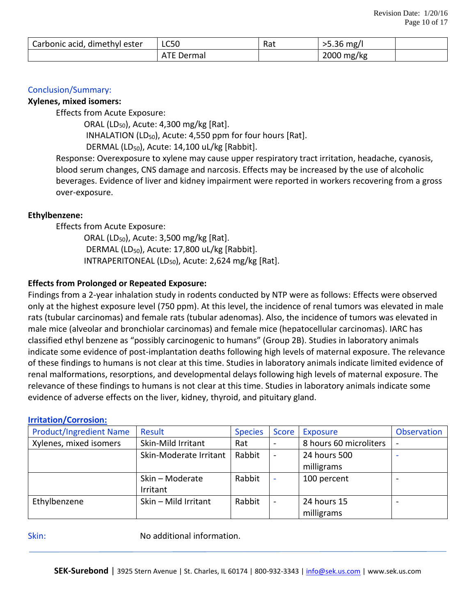| Carbonic acid,<br>, dimethyl ester | <b>LC50</b>          | $D \rightarrow +$<br>.ndu | $\cap$<br>>5.36 mg/l |  |
|------------------------------------|----------------------|---------------------------|----------------------|--|
|                                    | <b>ATF</b><br>Dermal |                           | 2000 mg/kg           |  |

### Conclusion/Summary:

#### **Xylenes, mixed isomers:**

Effects from Acute Exposure:

 ORAL (LD50), Acute: 4,300 mg/kg [Rat]. INHALATION (LD<sub>50</sub>), Acute: 4,550 ppm for four hours [Rat]. DERMAL (LD<sub>50</sub>), Acute: 14,100 uL/kg [Rabbit].

Response: Overexposure to xylene may cause upper respiratory tract irritation, headache, cyanosis, blood serum changes, CNS damage and narcosis. Effects may be increased by the use of alcoholic beverages. Evidence of liver and kidney impairment were reported in workers recovering from a gross over-exposure.

#### **Ethylbenzene:**

Effects from Acute Exposure:

ORAL (LD<sub>50</sub>), Acute: 3,500 mg/kg [Rat]. DERMAL (LD<sub>50</sub>), Acute: 17,800 uL/kg [Rabbit]. INTRAPERITONEAL (LD $_{50}$ ), Acute: 2,624 mg/kg [Rat].

### **Effects from Prolonged or Repeated Exposure:**

Findings from a 2-year inhalation study in rodents conducted by NTP were as follows: Effects were observed only at the highest exposure level (750 ppm). At this level, the incidence of renal tumors was elevated in male rats (tubular carcinomas) and female rats (tubular adenomas). Also, the incidence of tumors was elevated in male mice (alveolar and bronchiolar carcinomas) and female mice (hepatocellular carcinomas). IARC has classified ethyl benzene as "possibly carcinogenic to humans" (Group 2B). Studies in laboratory animals indicate some evidence of post-implantation deaths following high levels of maternal exposure. The relevance of these findings to humans is not clear at this time. Studies in laboratory animals indicate limited evidence of renal malformations, resorptions, and developmental delays following high levels of maternal exposure. The relevance of these findings to humans is not clear at this time. Studies in laboratory animals indicate some evidence of adverse effects on the liver, kidney, thyroid, and pituitary gland.

#### **Irritation/Corrosion:**

| <b>Product/Ingredient Name</b> | Result                 | <b>Species</b> | Score                    | Exposure               | Observation |
|--------------------------------|------------------------|----------------|--------------------------|------------------------|-------------|
| Xylenes, mixed isomers         | Skin-Mild Irritant     | Rat            | $\overline{\phantom{a}}$ | 8 hours 60 microliters | $\sim$      |
|                                | Skin-Moderate Irritant | Rabbit         | $\blacksquare$           | 24 hours 500           |             |
|                                |                        |                |                          | milligrams             |             |
|                                | Skin - Moderate        | Rabbit         | ۰                        | 100 percent            |             |
|                                | Irritant               |                |                          |                        |             |
| Ethylbenzene                   | Skin - Mild Irritant   | Rabbit         | $\overline{a}$           | 24 hours 15            |             |
|                                |                        |                |                          | milligrams             |             |

Skin: Skin: No additional information.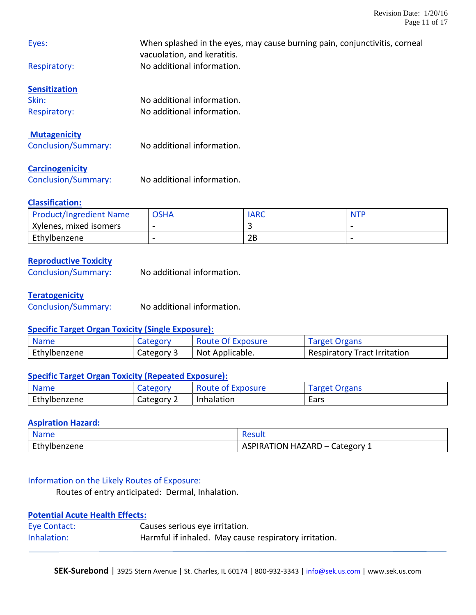| Eyes:                      | When splashed in the eyes, may cause burning pain, conjunctivitis, corneal<br>vacuolation, and keratitis. |
|----------------------------|-----------------------------------------------------------------------------------------------------------|
| Respiratory:               | No additional information.                                                                                |
| <b>Sensitization</b>       |                                                                                                           |
| Skin:                      | No additional information.                                                                                |
| Respiratory:               | No additional information.                                                                                |
| <b>Mutagenicity</b>        |                                                                                                           |
| <b>Conclusion/Summary:</b> | No additional information.                                                                                |
| <b>Carcinogenicity</b>     |                                                                                                           |

Conclusion/Summary: No additional information.

## **Classification:**

| <b>Product/Ingredient Name</b> | <b>OSHA</b>              | IARC | <b>NTP</b> |
|--------------------------------|--------------------------|------|------------|
| Xylenes, mixed isomers         | $\overline{\phantom{0}}$ |      | -          |
| Ethylbenzene                   | $\overline{\phantom{0}}$ | 2Β   |            |

## **Reproductive Toxicity**

| No additional information. |
|----------------------------|
|                            |

### **Teratogenicity**

Conclusion/Summary: No additional information.

### **Specific Target Organ Toxicity (Single Exposure):**

| <b>Name</b>  | Category   | Route Of Exposure | <b>Target Organs</b>         |
|--------------|------------|-------------------|------------------------------|
| Ethylbenzene | Category 3 | Not Applicable.   | Respiratory Tract Irritation |

### **Specific Target Organ Toxicity (Repeated Exposure):**

| <b>Name</b>  | Category   | <b>Route of Exposure</b> | Target Organs |
|--------------|------------|--------------------------|---------------|
| Ethylbenzene | Category 2 | Inhalation               | Ears          |

## **Aspiration Hazard:**

| <b>Name</b>             | 152 YI                                    |
|-------------------------|-------------------------------------------|
| $F + h$<br>Ethylbenzene | ⊧HAZARD –<br>Category<br>ASPIRATION<br>-- |

## Information on the Likely Routes of Exposure:

Routes of entry anticipated: Dermal, Inhalation.

## **Potential Acute Health Effects:**

| Eye Contact: | Causes serious eye irritation. |                                                       |
|--------------|--------------------------------|-------------------------------------------------------|
| Inhalation:  |                                | Harmful if inhaled. May cause respiratory irritation. |

SEK-Surebond | 3925 Stern Avenue | St. Charles, IL 60174 | 800-932-3343 | [info@sek.us.com](mailto:info@sek.us.com) | www.sek.us.com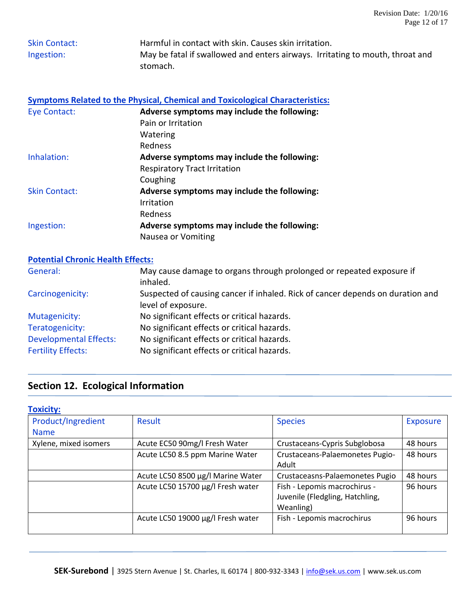| <b>Skin Contact:</b> | Harmful in contact with skin. Causes skin irritation.                         |  |  |
|----------------------|-------------------------------------------------------------------------------|--|--|
| Ingestion:           | May be fatal if swallowed and enters airways. Irritating to mouth, throat and |  |  |
|                      | stomach.                                                                      |  |  |

|               | Symptoms Related to the Physical, Chemical and Toxicological Characteristics: |
|---------------|-------------------------------------------------------------------------------|
| Eye Contact:  | Adverse symptoms may include the following:                                   |
|               | Pain or Irritation                                                            |
|               | Watering                                                                      |
|               | Redness                                                                       |
| Inhalation:   | Adverse symptoms may include the following:                                   |
|               | <b>Respiratory Tract Irritation</b>                                           |
|               | Coughing                                                                      |
| Skin Contact: | Adverse symptoms may include the following:                                   |
|               | Irritation                                                                    |
|               | Redness                                                                       |
| Ingestion:    | Adverse symptoms may include the following:                                   |
|               | Nausea or Vomiting                                                            |

## **Potential Chronic Health Effects:**

| General:                      | May cause damage to organs through prolonged or repeated exposure if<br>inhaled.                     |
|-------------------------------|------------------------------------------------------------------------------------------------------|
| Carcinogenicity:              | Suspected of causing cancer if inhaled. Rick of cancer depends on duration and<br>level of exposure. |
| Mutagenicity:                 | No significant effects or critical hazards.                                                          |
| Teratogenicity:               | No significant effects or critical hazards.                                                          |
| <b>Developmental Effects:</b> | No significant effects or critical hazards.                                                          |
| <b>Fertility Effects:</b>     | No significant effects or critical hazards.                                                          |

# **Section 12. Ecological Information**

| <b>Toxicity:</b>      |                                   |                                 |                 |
|-----------------------|-----------------------------------|---------------------------------|-----------------|
| Product/Ingredient    | Result                            | <b>Species</b>                  | <b>Exposure</b> |
| <b>Name</b>           |                                   |                                 |                 |
| Xylene, mixed isomers | Acute EC50 90mg/l Fresh Water     | Crustaceans-Cypris Subglobosa   | 48 hours        |
|                       | Acute LC50 8.5 ppm Marine Water   | Crustaceans-Palaemonetes Pugio- | 48 hours        |
|                       |                                   | Adult                           |                 |
|                       | Acute LC50 8500 µg/l Marine Water | Crustaceasns-Palaemonetes Pugio | 48 hours        |
|                       | Acute LC50 15700 µg/l Fresh water | Fish - Lepomis macrochirus -    | 96 hours        |
|                       |                                   | Juvenile (Fledgling, Hatchling, |                 |
|                       |                                   | Weanling)                       |                 |
|                       | Acute LC50 19000 µg/l Fresh water | Fish - Lepomis macrochirus      | 96 hours        |
|                       |                                   |                                 |                 |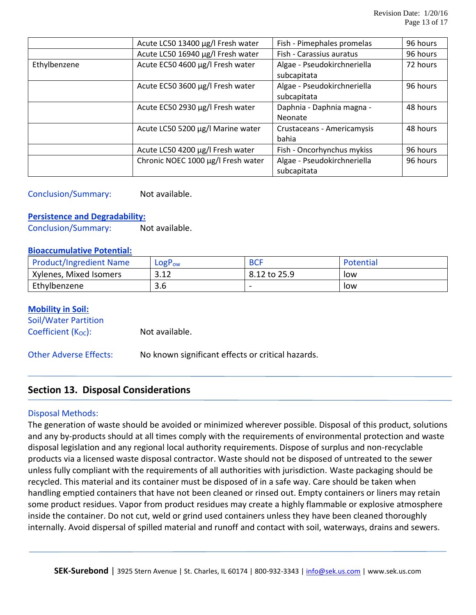|              | Acute LC50 13400 µg/l Fresh water  | Fish - Pimephales promelas  | 96 hours |
|--------------|------------------------------------|-----------------------------|----------|
|              | Acute LC50 16940 µg/l Fresh water  | Fish - Carassius auratus    | 96 hours |
| Ethylbenzene | Acute EC50 4600 µg/l Fresh water   | Algae - Pseudokirchneriella | 72 hours |
|              |                                    | subcapitata                 |          |
|              | Acute EC50 3600 µg/l Fresh water   | Algae - Pseudokirchneriella | 96 hours |
|              |                                    | subcapitata                 |          |
|              | Acute EC50 2930 µg/l Fresh water   | Daphnia - Daphnia magna -   | 48 hours |
|              |                                    | Neonate                     |          |
|              | Acute LC50 5200 µg/l Marine water  | Crustaceans - Americamysis  | 48 hours |
|              |                                    | bahia                       |          |
|              | Acute LC50 4200 µg/l Fresh water   | Fish - Oncorhynchus mykiss  | 96 hours |
|              | Chronic NOEC 1000 µg/l Fresh water | Algae - Pseudokirchneriella | 96 hours |
|              |                                    | subcapitata                 |          |

## Conclusion/Summary: Not available.

#### **Persistence and Degradability:**

Conclusion/Summary: Not available.

#### **Bioaccumulative Potential:**

| <b>Product/Ingredient Name</b> | $LogP_{ow}$          | <b>BCF</b>   | Potential |
|--------------------------------|----------------------|--------------|-----------|
| Xylenes, Mixed Isomers         | າ 1 າ<br>3.IZ        | 8.12 to 25.9 | low       |
| Ethylbenzene                   | $\cap$ $\cap$<br>3.D |              | low       |

#### **Mobility in Soil:**

Soil/Water Partition  $Coefficient (K<sub>OC</sub>):$  Not available.

Other Adverse Effects: No known significant effects or critical hazards.

## **Section 13. Disposal Considerations**

#### Disposal Methods:

The generation of waste should be avoided or minimized wherever possible. Disposal of this product, solutions and any by-products should at all times comply with the requirements of environmental protection and waste disposal legislation and any regional local authority requirements. Dispose of surplus and non-recyclable products via a licensed waste disposal contractor. Waste should not be disposed of untreated to the sewer unless fully compliant with the requirements of all authorities with jurisdiction. Waste packaging should be recycled. This material and its container must be disposed of in a safe way. Care should be taken when handling emptied containers that have not been cleaned or rinsed out. Empty containers or liners may retain some product residues. Vapor from product residues may create a highly flammable or explosive atmosphere inside the container. Do not cut, weld or grind used containers unless they have been cleaned thoroughly internally. Avoid dispersal of spilled material and runoff and contact with soil, waterways, drains and sewers.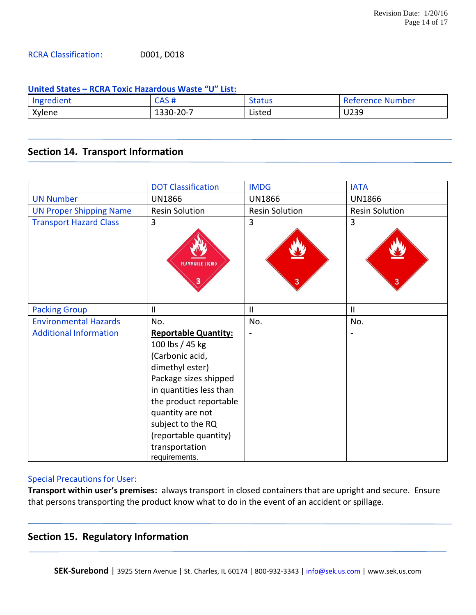### RCRA Classification: D001, D018

#### **United States – RCRA Toxic Hazardous Waste "U" List:**

| Ingredient | ש ממי<br>ח שר   | Status | Reference Number |
|------------|-----------------|--------|------------------|
| Xylene     | $1330 - 20 - 7$ | Listed | U239             |

## **Section 14. Transport Information**

|                                | <b>DOT Classification</b>                                                                                                                                                                                                                                               | <b>IMDG</b>           | <b>IATA</b>           |
|--------------------------------|-------------------------------------------------------------------------------------------------------------------------------------------------------------------------------------------------------------------------------------------------------------------------|-----------------------|-----------------------|
| <b>UN Number</b>               | <b>UN1866</b>                                                                                                                                                                                                                                                           | <b>UN1866</b>         | <b>UN1866</b>         |
| <b>UN Proper Shipping Name</b> | <b>Resin Solution</b>                                                                                                                                                                                                                                                   | <b>Resin Solution</b> | <b>Resin Solution</b> |
| <b>Transport Hazard Class</b>  | 3<br><b>FLAMMABLE LIQUID</b>                                                                                                                                                                                                                                            | 3<br>3                | 3                     |
| <b>Packing Group</b>           | $\mathbf{I}$                                                                                                                                                                                                                                                            | Ш                     | $\mathbf{H}$          |
| <b>Environmental Hazards</b>   | No.                                                                                                                                                                                                                                                                     | No.                   | No.                   |
| <b>Additional Information</b>  | <b>Reportable Quantity:</b><br>100 lbs / 45 kg<br>(Carbonic acid,<br>dimethyl ester)<br>Package sizes shipped<br>in quantities less than<br>the product reportable<br>quantity are not<br>subject to the RQ<br>(reportable quantity)<br>transportation<br>requirements. |                       |                       |

## Special Precautions for User:

**Transport within user's premises:** always transport in closed containers that are upright and secure. Ensure that persons transporting the product know what to do in the event of an accident or spillage.

## **Section 15. Regulatory Information**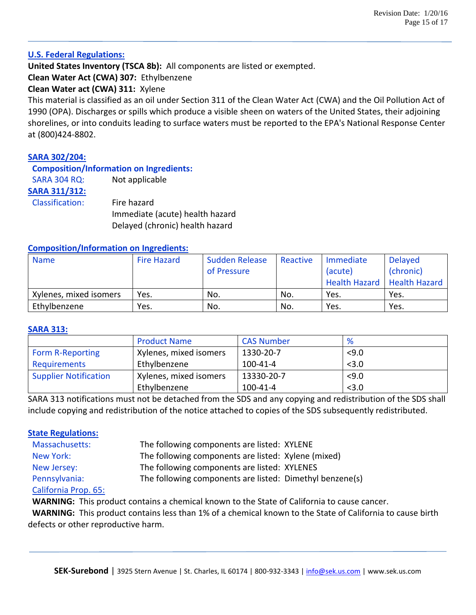#### **U.S. Federal Regulations:**

**United States Inventory (TSCA 8b):** All components are listed or exempted.

**Clean Water Act (CWA) 307:** Ethylbenzene

## **Clean Water act (CWA) 311:** Xylene

This material is classified as an oil under Section 311 of the Clean Water Act (CWA) and the Oil Pollution Act of 1990 (OPA). Discharges or spills which produce a visible sheen on waters of the United States, their adjoining shorelines, or into conduits leading to surface waters must be reported to the EPA's National Response Center at (800)424-8802.

## **SARA 302/204:**

**Composition/Information on Ingredients:**

SARA 304 RQ: Not applicable

**SARA 311/312:**

 Classification: Fire hazard Immediate (acute) health hazard Delayed (chronic) health hazard

### **Composition/Information on Ingredients:**

| <b>Name</b>            | Fire Hazard | <b>Sudden Release</b><br>of Pressure | Reactive | Immediate<br>(acute)<br>Health Hazard   Health Hazard | <b>Delayed</b><br>(chronic) |
|------------------------|-------------|--------------------------------------|----------|-------------------------------------------------------|-----------------------------|
| Xylenes, mixed isomers | Yes.        | No.                                  | No.      | Yes.                                                  | Yes.                        |
| Ethylbenzene           | Yes.        | No.                                  | No.      | Yes.                                                  | Yes.                        |

#### **SARA 313:**

|                              | <b>Product Name</b>    | <b>CAS Number</b> | %     |
|------------------------------|------------------------|-------------------|-------|
| <b>Form R-Reporting</b>      | Xylenes, mixed isomers | 1330-20-7         | 5,0   |
| Requirements                 | Ethylbenzene           | $100 - 41 - 4$    | < 3.0 |
| <b>Supplier Notification</b> | Xylenes, mixed isomers | 13330-20-7        | < 9.0 |
|                              | Ethylbenzene           | 100-41-4          | < 3.0 |

SARA 313 notifications must not be detached from the SDS and any copying and redistribution of the SDS shall include copying and redistribution of the notice attached to copies of the SDS subsequently redistributed.

### **State Regulations:**

| Massachusetts:       | The following components are listed: XYLENE              |  |
|----------------------|----------------------------------------------------------|--|
| New York:            | The following components are listed: Xylene (mixed)      |  |
| New Jersey:          | The following components are listed: XYLENES             |  |
| Pennsylvania:        | The following components are listed: Dimethyl benzene(s) |  |
| California Prop. 65: |                                                          |  |

**WARNING:** This product contains a chemical known to the State of California to cause cancer.

 **WARNING:** This product contains less than 1% of a chemical known to the State of California to cause birth defects or other reproductive harm.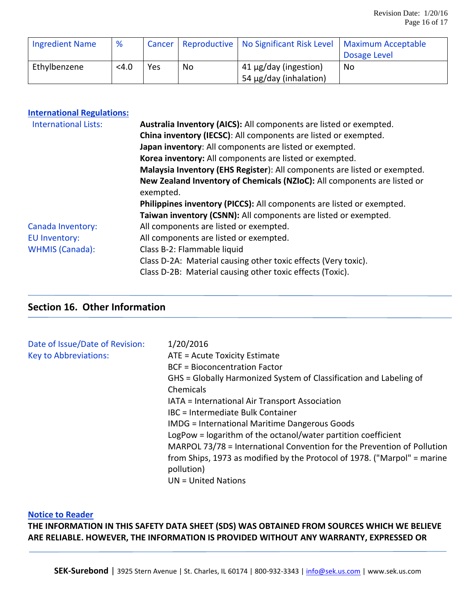| <b>Ingredient Name</b> | %       |     |    | Cancer   Reproductive   No Significant Risk Level   Maximum Acceptable |              |
|------------------------|---------|-----|----|------------------------------------------------------------------------|--------------|
|                        |         |     |    |                                                                        | Dosage Level |
| Ethylbenzene           | $<$ 4.0 | Yes | No | $\frac{1}{41}$ µg/day (ingestion)                                      | No           |
|                        |         |     |    | 54 µg/day (inhalation)                                                 |              |

| <b>International Regulations:</b> |  |  |
|-----------------------------------|--|--|
|-----------------------------------|--|--|

| <b>International Lists:</b> | Australia Inventory (AICS): All components are listed or exempted.        |
|-----------------------------|---------------------------------------------------------------------------|
|                             | China inventory (IECSC): All components are listed or exempted.           |
|                             | Japan inventory: All components are listed or exempted.                   |
|                             | Korea inventory: All components are listed or exempted.                   |
|                             | Malaysia Inventory (EHS Register): All components are listed or exempted. |
|                             | New Zealand Inventory of Chemicals (NZIoC): All components are listed or  |
|                             | exempted.                                                                 |
|                             | Philippines inventory (PICCS): All components are listed or exempted.     |
|                             | Taiwan inventory (CSNN): All components are listed or exempted.           |
| Canada Inventory:           | All components are listed or exempted.                                    |
| <b>EU Inventory:</b>        | All components are listed or exempted.                                    |
| <b>WHMIS (Canada):</b>      | Class B-2: Flammable liquid                                               |
|                             | Class D-2A: Material causing other toxic effects (Very toxic).            |
|                             | Class D-2B: Material causing other toxic effects (Toxic).                 |
|                             |                                                                           |

# **Section 16. Other Information**

| Date of Issue/Date of Revision:<br><b>Key to Abbreviations:</b> | 1/20/2016<br>ATE = Acute Toxicity Estimate<br><b>BCF</b> = Bioconcentration Factor<br>GHS = Globally Harmonized System of Classification and Labeling of<br>Chemicals<br>IATA = International Air Transport Association<br>IBC = Intermediate Bulk Container<br><b>IMDG</b> = International Maritime Dangerous Goods<br>LogPow = logarithm of the octanol/water partition coefficient<br>MARPOL 73/78 = International Convention for the Prevention of Pollution<br>from Ships, 1973 as modified by the Protocol of 1978. ("Marpol" = marine |
|-----------------------------------------------------------------|----------------------------------------------------------------------------------------------------------------------------------------------------------------------------------------------------------------------------------------------------------------------------------------------------------------------------------------------------------------------------------------------------------------------------------------------------------------------------------------------------------------------------------------------|
|                                                                 | pollution)<br>$UN = United Nations$                                                                                                                                                                                                                                                                                                                                                                                                                                                                                                          |

#### **Notice to Reader**

**THE INFORMATION IN THIS SAFETY DATA SHEET (SDS) WAS OBTAINED FROM SOURCES WHICH WE BELIEVE ARE RELIABLE. HOWEVER, THE INFORMATION IS PROVIDED WITHOUT ANY WARRANTY, EXPRESSED OR**